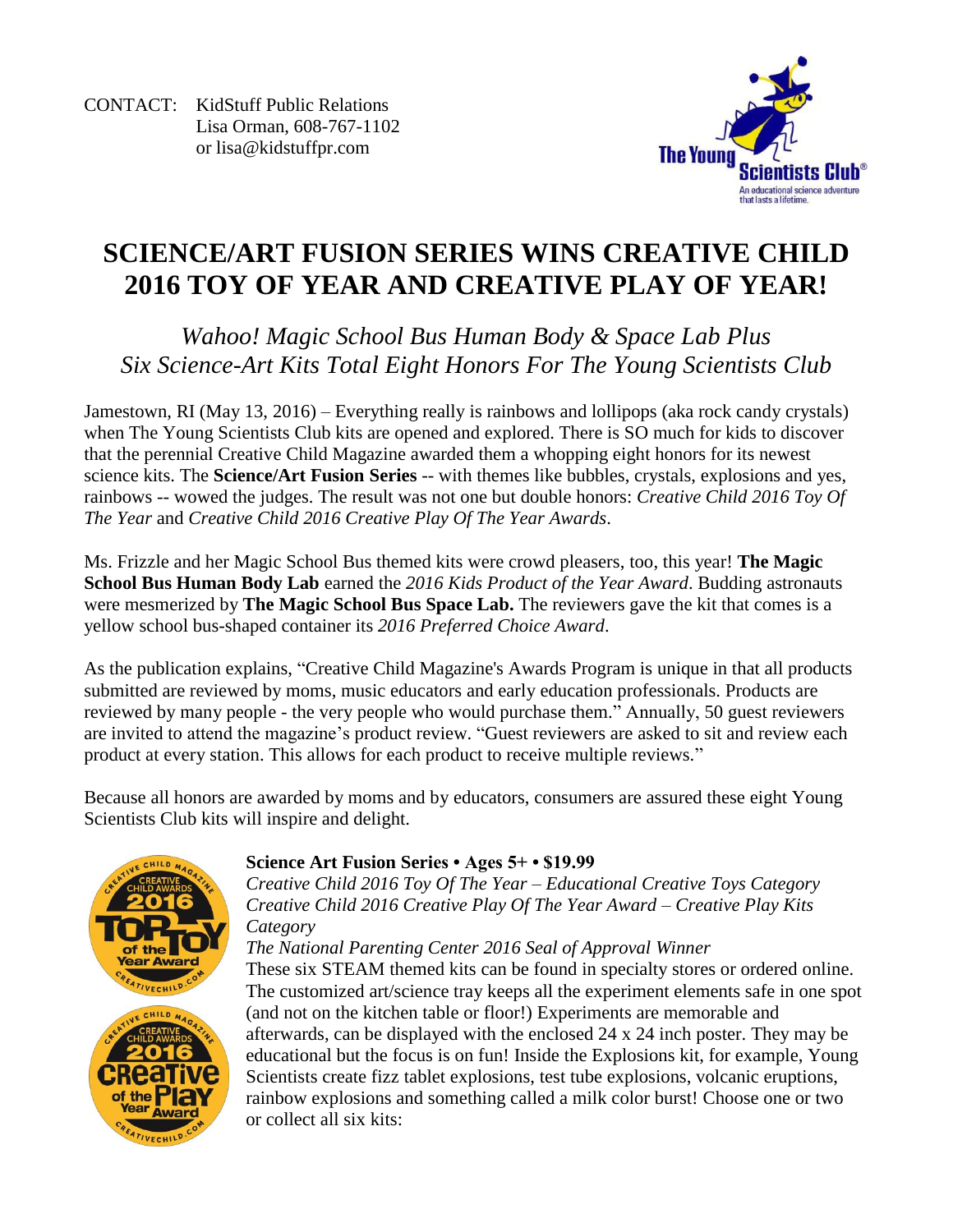CONTACT: KidStuff Public Relations Lisa Orman, 608-767-1102 or [lisa@kidstuffpr.com](mailto:lisa@kidstuffpr.com)



## **SCIENCE/ART FUSION SERIES WINS CREATIVE CHILD 2016 TOY OF YEAR AND CREATIVE PLAY OF YEAR!**

*Wahoo! Magic School Bus Human Body & Space Lab Plus Six Science-Art Kits Total Eight Honors For The Young Scientists Club*

Jamestown, RI (May 13, 2016) – Everything really is rainbows and lollipops (aka rock candy crystals) when The Young Scientists Club kits are opened and explored. There is SO much for kids to discover that the perennial Creative Child Magazine awarded them a whopping eight honors for its newest science kits. The **Science/Art Fusion Series** -- with themes like bubbles, crystals, explosions and yes, rainbows -- wowed the judges. The result was not one but double honors: *Creative Child 2016 Toy Of The Year* and *Creative Child 2016 Creative Play Of The Year Awards*.

Ms. Frizzle and her Magic School Bus themed kits were crowd pleasers, too, this year! **The Magic School Bus Human Body Lab** earned the *2016 Kids Product of the Year Award*. Budding astronauts were mesmerized by **The Magic School Bus Space Lab.** The reviewers gave the kit that comes is a yellow school bus-shaped container its *2016 Preferred Choice Award*.

As the publication explains, "Creative Child Magazine's Awards Program is unique in that all products submitted are reviewed by moms, music educators and early education professionals. Products are reviewed by many people - the very people who would purchase them." Annually, 50 guest reviewers are invited to attend the magazine's product review. "Guest reviewers are asked to sit and review each product at every station. This allows for each product to receive multiple reviews."

Because all honors are awarded by moms and by educators, consumers are assured these eight Young Scientists Club kits will inspire and delight.



#### **Science Art Fusion Series • Ages 5+ • \$19.99**

*Creative Child 2016 Toy Of The Year – Educational Creative Toys Category Creative Child 2016 Creative Play Of The Year Award – Creative Play Kits Category*

*The National Parenting Center 2016 Seal of Approval Winner*

These six STEAM themed kits can be found in specialty stores or ordered online. The customized art/science tray keeps all the experiment elements safe in one spot (and not on the kitchen table or floor!) Experiments are memorable and afterwards, can be displayed with the enclosed 24 x 24 inch poster. They may be educational but the focus is on fun! Inside the Explosions kit, for example, Young Scientists create fizz tablet explosions, test tube explosions, volcanic eruptions, rainbow explosions and something called a milk color burst! Choose one or two or collect all six kits: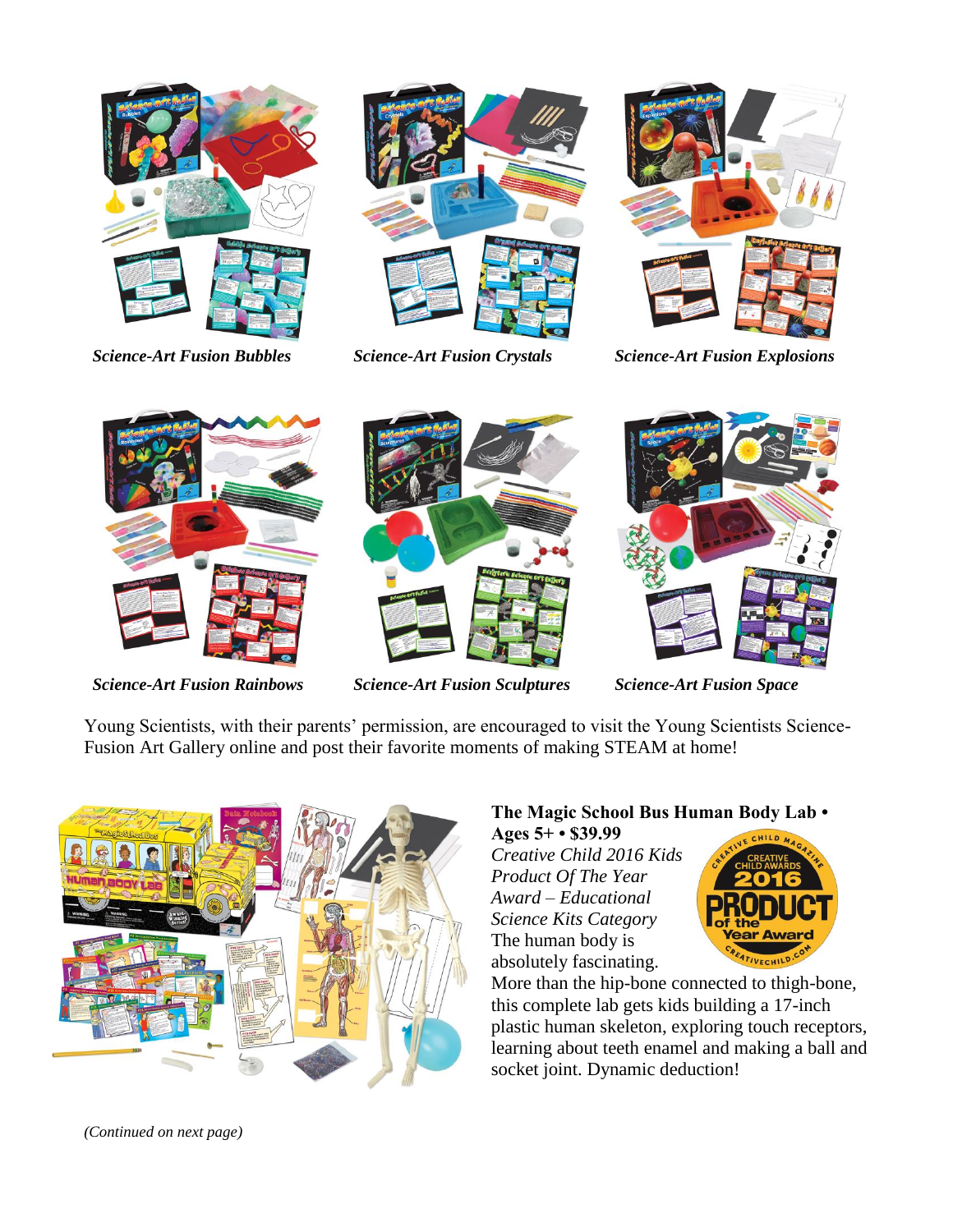





*Science-Art Fusion Bubbles Science-Art Fusion Crystals Science-Art Fusion Explosions* 





*Science-Art Fusion Rainbows Science-Art Fusion Sculptures Science-Art Fusion Space*



Young Scientists, with their parents' permission, are encouraged to visit the Young Scientists Science-Fusion Art Gallery online and post their favorite moments of making STEAM at home!



# **The Magic School Bus Human Body Lab •**

**Ages 5+ • \$39.99** *Creative Child 2016 Kids Product Of The Year Award – Educational Science Kits Category* The human body is absolutely fascinating.



More than the hip-bone connected to thigh-bone, this complete lab gets kids building a 17-inch plastic human skeleton, exploring touch receptors, learning about teeth enamel and making a ball and socket joint. Dynamic deduction!

*(Continued on next page)*